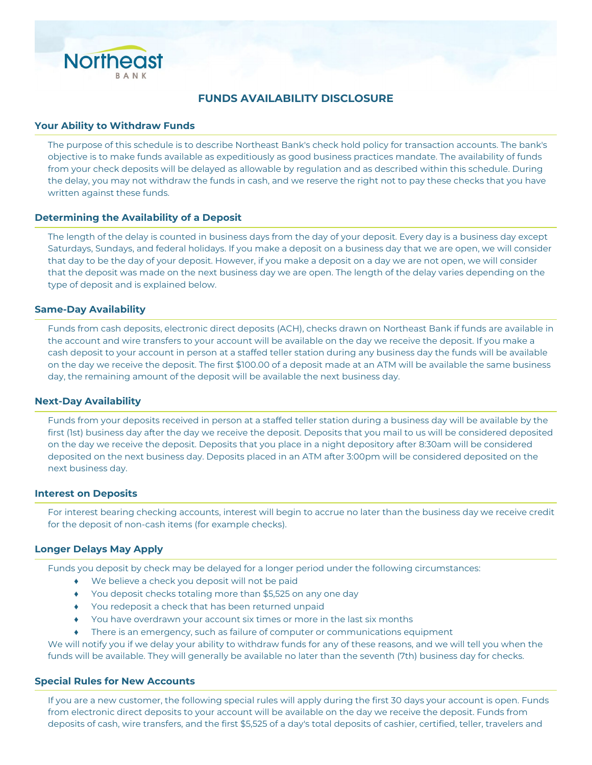

# **FUNDS AVAILABILITY DISCLOSURE**

#### **Your Ability to Withdraw Funds**

The purpose of this schedule is to describe Northeast Bank's check hold policy for transaction accounts. The bank's objective is to make funds available as expeditiously as good business practices mandate. The availability of funds from your check deposits will be delayed as allowable by regulation and as described within this schedule. During the delay, you may not withdraw the funds in cash, and we reserve the right not to pay these checks that you have written against these funds.

### **Determining the Availability of a Deposit**

The length of the delay is counted in business days from the day of your deposit. Every day is a business day except Saturdays, Sundays, and federal holidays. If you make a deposit on a business day that we are open, we will consider that day to be the day of your deposit. However, if you make a deposit on a day we are not open, we will consider that the deposit was made on the next business day we are open. The length of the delay varies depending on the type of deposit and is explained below.

#### **Same-Day Availability**

Funds from cash deposits, electronic direct deposits (ACH), checks drawn on Northeast Bank if funds are available in the account and wire transfers to your account will be available on the day we receive the deposit. If you make a cash deposit to your account in person at a staffed teller station during any business day the funds will be available on the day we receive the deposit. The first \$100.00 of a deposit made at an ATM will be available the same business day, the remaining amount of the deposit will be available the next business day.

#### **Next-Day Availability**

Funds from your deposits received in person at a staffed teller station during a business day will be available by the first (1st) business day after the day we receive the deposit. Deposits that you mail to us will be considered deposited on the day we receive the deposit. Deposits that you place in a night depository after 8:30am will be considered deposited on the next business day. Deposits placed in an ATM after 3:00pm will be considered deposited on the next business day.

#### **Interest on Deposits**

For interest bearing checking accounts, interest will begin to accrue no later than the business day we receive credit for the deposit of non-cash items (for example checks).

## **Longer Delays May Apply**

Funds you deposit by check may be delayed for a longer period under the following circumstances:

- ♦ We believe a check you deposit will not be paid
- ♦ You deposit checks totaling more than \$5,525 on any one day
- ♦ You redeposit a check that has been returned unpaid
- You have overdrawn your account six times or more in the last six months
- There is an emergency, such as failure of computer or communications equipment

We will notify you if we delay your ability to withdraw funds for any of these reasons, and we will tell you when the funds will be available. They will generally be available no later than the seventh (7th) business day for checks.

#### **Special Rules for New Accounts**

If you are a new customer, the following special rules will apply during the first 30 days your account is open. Funds from electronic direct deposits to your account will be available on the day we receive the deposit. Funds from deposits of cash, wire transfers, and the first \$5,525 of a day's total deposits of cashier, certified, teller, travelers and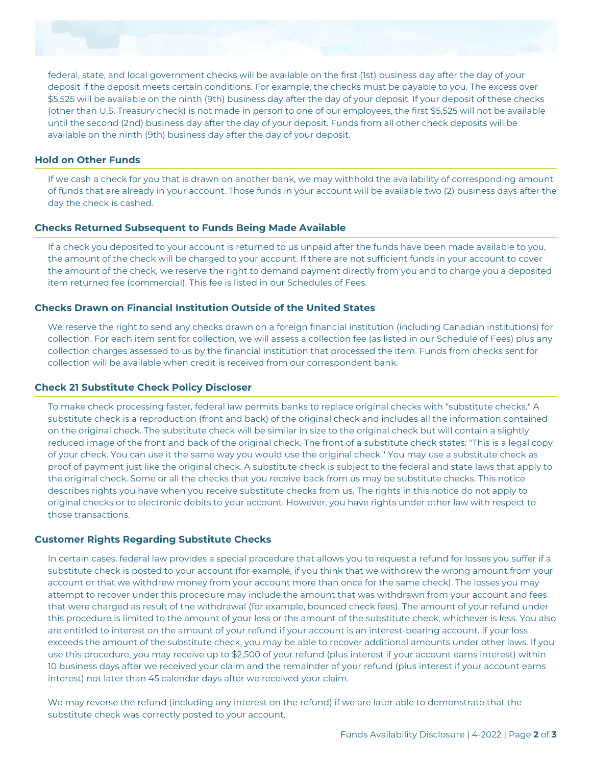

federal, state, and local government checks will be available on the first (1st) business day after the day of your deposit if the deposit meets certain conditions. For example, the checks must be payable to you. The excess over \$5,525 will be available on the ninth (9th) business day after the day of your deposit. If your deposit of these checks (other than U.S. Treasury check) is not made in person to one of our employees, the first \$5,525 will not be available until the second (2nd) business day after the day of your deposit. Funds from all other check deposits will be available on the ninth (9th) business day after the day of your deposit.

### **Hold on Other Funds**

If we cash a check for you that is drawn on another bank, we may withhold the availability of corresponding amount of funds that are already in your account. Those funds in your account will be available two (2) business days after the day the check is cashed.

### **Checks Returned Subsequent to Funds Being Made Available**

If a check you deposited to your account is returned to us unpaid after the funds have been made available to you, the amount of the check will be charged to your account. If there are not sufficient funds in your account to cover the amount of the check, we reserve the right to demand payment directly from you and to charge you a deposited item returned fee (commercial). This fee is listed in our Schedules of Fees.

#### **Checks Drawn on Financial Institution Outside of the United States**

We reserve the right to send any checks drawn on a foreign financial institution (including Canadian institutions) for collection. For each item sent for collection, we will assess a collection fee (as listed in our Schedule of Fees) plus any collection charges assessed to us by the financial institution that processed the item. Funds from checks sent for collection will be available when credit is received from our correspondent bank.

### **Check 21 Substitute Check Policy Discloser**

To make check processing faster, federal law permits banks to replace original checks with "substitute checks." A substitute check is a reproduction (front and back) of the original check and includes all the information contained on the original check. The substitute check will be similar in size to the original check but will contain a slightly reduced image of the front and back of the original check. The front of a substitute check states: "This is a legal copy of your check. You can use it the same way you would use the original check." You may use a substitute check as proof of payment just like the original check. A substitute check is subject to the federal and state laws that apply to the original check. Some or all the checks that you receive back from us may be substitute checks. This notice describes rights you have when you receive substitute checks from us. The rights in this notice do not apply to original checks or to electronic debits to your account. However, you have rights under other law with respect to those transactions.

# **Customer Rights Regarding Substitute Checks**

In certain cases, federal law provides a special procedure that allows you to request a refund for losses you suffer if a substitute check is posted to your account (for example, if you think that we withdrew the wrong amount from your account or that we withdrew money from your account more than once for the same check). The losses you may attempt to recover under this procedure may include the amount that was withdrawn from your account and fees that were charged as result of the withdrawal (for example, bounced check fees). The amount of your refund under this procedure is limited to the amount of your loss or the amount of the substitute check, whichever is less. You also are entitled to interest on the amount of your refund if your account is an interest-bearing account. If your loss exceeds the amount of the substitute check, you may be able to recover additional amounts under other laws. If you use this procedure, you may receive up to \$2,500 of your refund (plus interest if your account earns interest) within 10 business days after we received your claim and the remainder of your refund (plus interest if your account earns interest) not later than 45 calendar days after we received your claim.

We may reverse the refund (including any interest on the refund) if we are later able to demonstrate that the substitute check was correctly posted to your account.